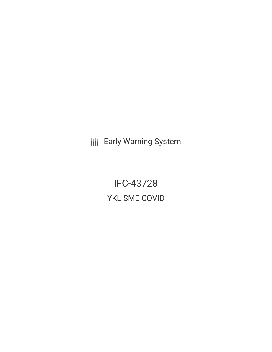**III** Early Warning System

IFC-43728 YKL SME COVID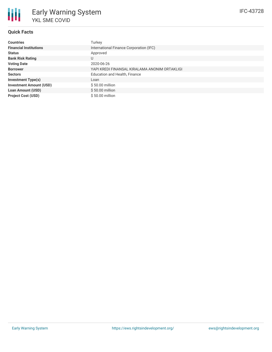

### **Quick Facts**

| <b>Countries</b>               | Turkey                                        |
|--------------------------------|-----------------------------------------------|
| <b>Financial Institutions</b>  | International Finance Corporation (IFC)       |
| <b>Status</b>                  | Approved                                      |
| <b>Bank Risk Rating</b>        | U                                             |
| <b>Voting Date</b>             | 2020-06-26                                    |
| <b>Borrower</b>                | YAPI KREDI FINANSAL KIRALAMA ANONIM ORTAKLIGI |
| <b>Sectors</b>                 | Education and Health, Finance                 |
| <b>Investment Type(s)</b>      | Loan                                          |
| <b>Investment Amount (USD)</b> | \$50.00 million                               |
| <b>Loan Amount (USD)</b>       | $$50.00$ million                              |
| <b>Project Cost (USD)</b>      | \$50.00 million                               |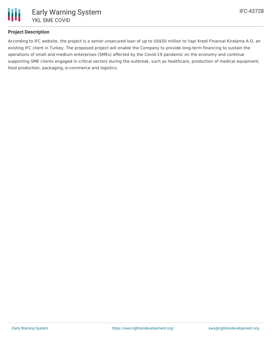

# **Project Description**

According to IFC website, the project is a senior unsecured loan of up to US\$50 million to Yapi Kredi Finansal Kiralama A.O, an existing IFC client in Turkey. The proposed project will enable the Company to provide long-term financing to sustain the operations of small and medium enterprises (SMEs) affected by the Covid-19 pandemic on the economy and continue supporting SME clients engaged in critical sectors during the outbreak, such as healthcare, production of medical equipment, food production, packaging, e-commerce and logistics.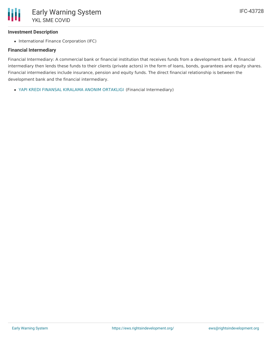#### **Investment Description**

• International Finance Corporation (IFC)

#### **Financial Intermediary**

Financial Intermediary: A commercial bank or financial institution that receives funds from a development bank. A financial intermediary then lends these funds to their clients (private actors) in the form of loans, bonds, guarantees and equity shares. Financial intermediaries include insurance, pension and equity funds. The direct financial relationship is between the development bank and the financial intermediary.

YAPI KREDI FINANSAL KIRALAMA ANONIM [ORTAKLIGI](file:///actor/2978/) (Financial Intermediary)